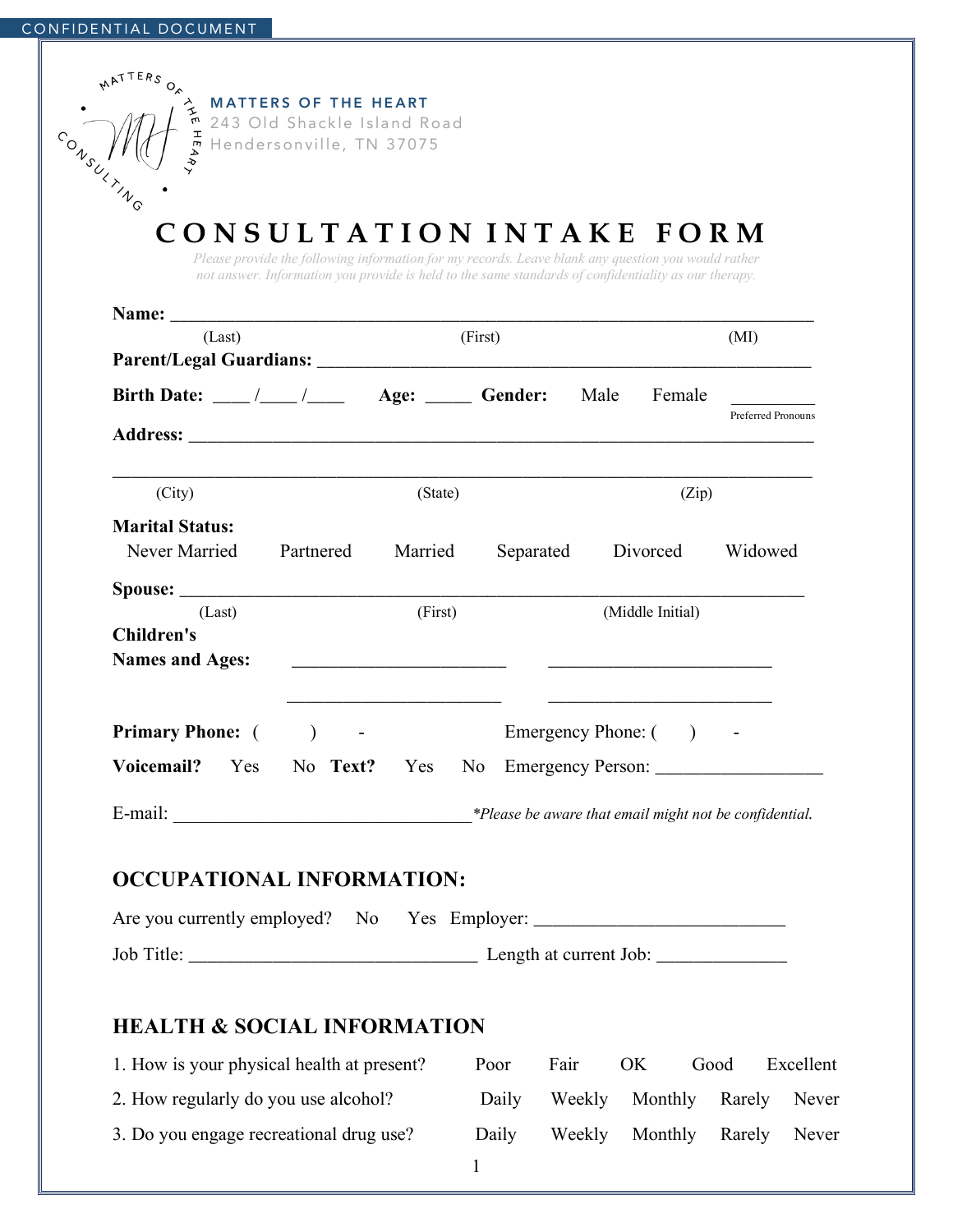| (State)<br>Married | (First)                          |    | (Zip)            | (MI)<br><b>Preferred Pronouns</b> |
|--------------------|----------------------------------|----|------------------|-----------------------------------|
|                    |                                  |    |                  |                                   |
|                    |                                  |    |                  |                                   |
|                    |                                  |    |                  |                                   |
|                    |                                  |    |                  |                                   |
|                    |                                  |    |                  |                                   |
|                    | Separated                        |    | Divorced         | Widowed                           |
|                    |                                  |    |                  |                                   |
| (First)            |                                  |    | (Middle Initial) |                                   |
|                    |                                  |    |                  |                                   |
| Yes                |                                  |    |                  |                                   |
|                    |                                  |    |                  |                                   |
|                    |                                  |    |                  |                                   |
|                    |                                  |    |                  |                                   |
|                    |                                  |    |                  |                                   |
|                    |                                  |    |                  |                                   |
|                    | <b>OCCUPATIONAL INFORMATION:</b> | No |                  | Emergency Phone: ()               |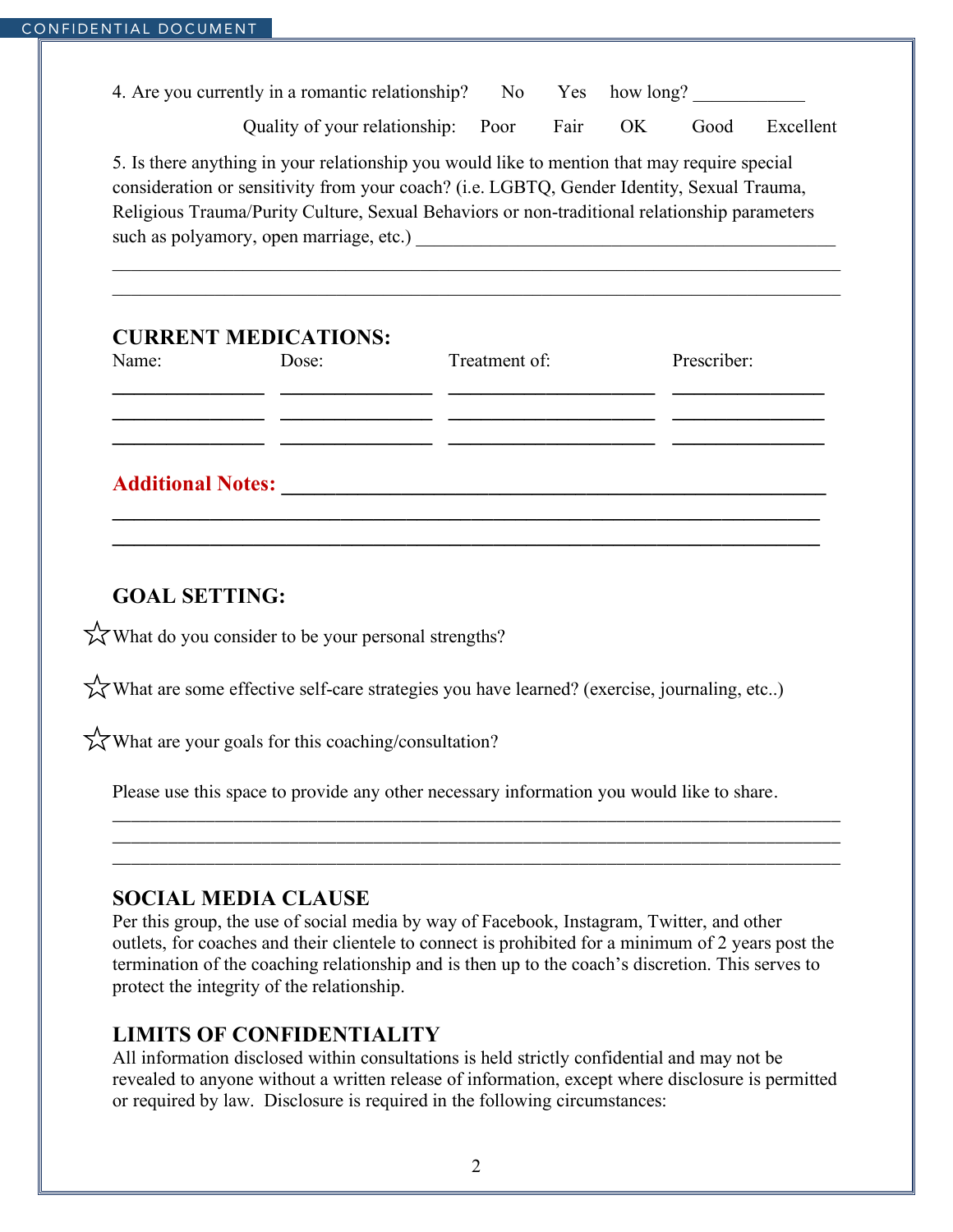4. Are you currently in a romantic relationship? No Yes how long?

Quality of your relationship: Poor Fair OK Good Excellent

5. Is there anything in your relationship you would like to mention that may require special consideration or sensitivity from your coach? (i.e. LGBTQ, Gender Identity, Sexual Trauma, Religious Trauma/Purity Culture, Sexual Behaviors or non-traditional relationship parameters such as polyamory, open marriage, etc.)

 $\_$  , and the contribution of the contribution of the contribution of the contribution of  $\mathcal{L}_\text{max}$  $\_$  , and the contribution of the contribution of the contribution of the contribution of  $\mathcal{L}_\text{max}$ 

## **CURRENT MEDICATIONS:**

| Name:                    | Dose: | Treatment of: | Prescriber: |
|--------------------------|-------|---------------|-------------|
|                          |       |               |             |
| <b>Additional Notes:</b> |       |               |             |
|                          |       |               |             |

**\_\_\_\_\_\_\_\_\_\_\_\_\_\_\_\_\_\_\_\_\_\_\_\_\_\_\_\_\_\_\_\_\_\_\_\_\_\_\_\_\_\_\_\_\_\_\_\_\_\_\_\_\_\_\_\_\_\_\_\_\_\_\_\_\_**

# **GOAL SETTING:**

 $\chi$  What do you consider to be your personal strengths?

 $\chi$  What are some effective self-care strategies you have learned? (exercise, journaling, etc..)

 $\chi$  What are your goals for this coaching/consultation?

Please use this space to provide any other necessary information you would like to share.

#### **SOCIAL MEDIA CLAUSE**

Per this group, the use of social media by way of Facebook, Instagram, Twitter, and other outlets, for coaches and their clientele to connect is prohibited for a minimum of 2 years post the termination of the coaching relationship and is then up to the coach's discretion. This serves to protect the integrity of the relationship.

\_\_\_\_\_\_\_\_\_\_\_\_\_\_\_\_\_\_\_\_\_\_\_\_\_\_\_\_\_\_\_\_\_\_\_\_\_\_\_\_\_\_\_\_\_\_\_\_\_\_\_\_\_\_\_\_\_\_\_\_\_\_\_\_\_\_\_\_\_\_\_\_\_\_\_\_\_\_ \_\_\_\_\_\_\_\_\_\_\_\_\_\_\_\_\_\_\_\_\_\_\_\_\_\_\_\_\_\_\_\_\_\_\_\_\_\_\_\_\_\_\_\_\_\_\_\_\_\_\_\_\_\_\_\_\_\_\_\_\_\_\_\_\_\_\_\_\_\_\_\_\_\_\_\_\_\_ \_\_\_\_\_\_\_\_\_\_\_\_\_\_\_\_\_\_\_\_\_\_\_\_\_\_\_\_\_\_\_\_\_\_\_\_\_\_\_\_\_\_\_\_\_\_\_\_\_\_\_\_\_\_\_\_\_\_\_\_\_\_\_\_\_\_\_\_\_\_\_\_\_\_\_\_\_\_

## **LIMITS OF CONFIDENTIALITY**

All information disclosed within consultations is held strictly confidential and may not be revealed to anyone without a written release of information, except where disclosure is permitted or required by law. Disclosure is required in the following circumstances: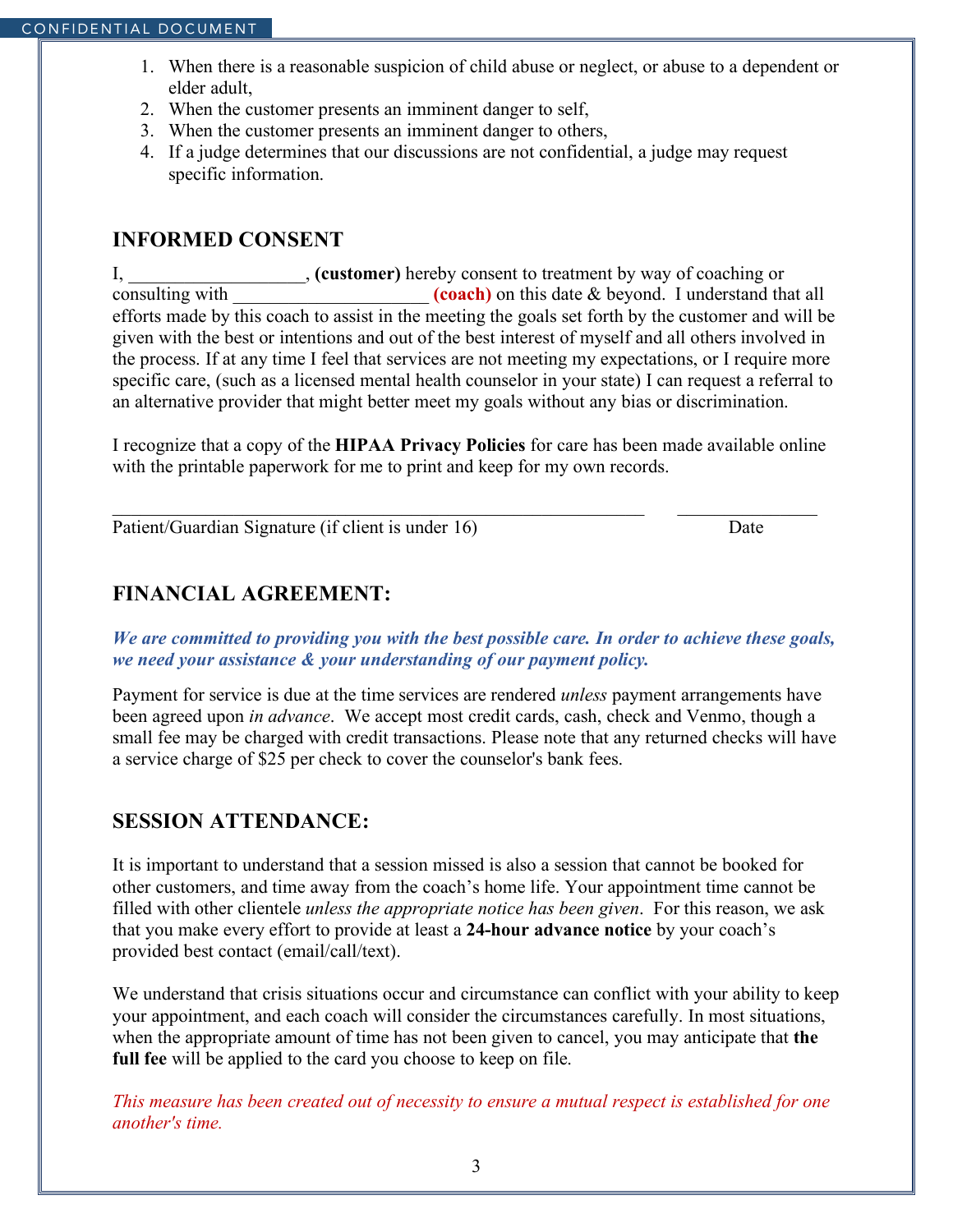- 1. When there is a reasonable suspicion of child abuse or neglect, or abuse to a dependent or elder adult,
- 2. When the customer presents an imminent danger to self,
- 3. When the customer presents an imminent danger to others,
- 4. If a judge determines that our discussions are not confidential, a judge may request specific information.

#### **INFORMED CONSENT**

I, \_\_\_\_\_\_\_\_\_\_\_\_\_\_\_\_\_\_\_, **(customer)** hereby consent to treatment by way of coaching or consulting with  $(coach)$  on this date & beyond. I understand that all efforts made by this coach to assist in the meeting the goals set forth by the customer and will be given with the best or intentions and out of the best interest of myself and all others involved in the process. If at any time I feel that services are not meeting my expectations, or I require more specific care, (such as a licensed mental health counselor in your state) I can request a referral to an alternative provider that might better meet my goals without any bias or discrimination.

I recognize that a copy of the **HIPAA Privacy Policies** for care has been made available online with the printable paperwork for me to print and keep for my own records.

 $\_$  , and the contribution of the contribution of  $\mathcal{L}_\mathcal{A}$  , and the contribution of  $\mathcal{L}_\mathcal{A}$ 

Patient/Guardian Signature (if client is under 16) Date

## **FINANCIAL AGREEMENT:**

*We are committed to providing you with the best possible care. In order to achieve these goals, we need your assistance & your understanding of our payment policy.*

Payment for service is due at the time services are rendered *unless* payment arrangements have been agreed upon *in advance*. We accept most credit cards, cash, check and Venmo, though a small fee may be charged with credit transactions. Please note that any returned checks will have a service charge of \$25 per check to cover the counselor's bank fees.

## **SESSION ATTENDANCE:**

It is important to understand that a session missed is also a session that cannot be booked for other customers, and time away from the coach's home life. Your appointment time cannot be filled with other clientele *unless the appropriate notice has been given*. For this reason, we ask that you make every effort to provide at least a **24-hour advance notice** by your coach's provided best contact (email/call/text).

We understand that crisis situations occur and circumstance can conflict with your ability to keep your appointment, and each coach will consider the circumstances carefully. In most situations, when the appropriate amount of time has not been given to cancel, you may anticipate that **the full fee** will be applied to the card you choose to keep on file.

*This measure has been created out of necessity to ensure a mutual respect is established for one another's time.*